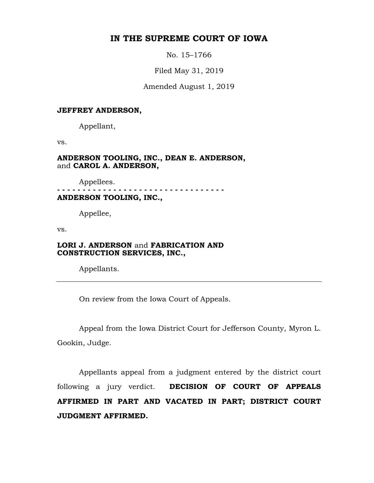## **IN THE SUPREME COURT OF IOWA**

No. 15–1766

Filed May 31, 2019

Amended August 1, 2019

#### **JEFFREY ANDERSON,**

Appellant,

vs.

**ANDERSON TOOLING, INC., DEAN E. ANDERSON,**  and **CAROL A. ANDERSON,**

Appellees.

. . . . . . . . . . . . . . . **ANDERSON TOOLING, INC.,**

Appellee,

vs.

## **LORI J. ANDERSON** and **FABRICATION AND CONSTRUCTION SERVICES, INC.,**

Appellants.

On review from the Iowa Court of Appeals.

Appeal from the Iowa District Court for Jefferson County, Myron L. Gookin, Judge.

Appellants appeal from a judgment entered by the district court following a jury verdict. **DECISION OF COURT OF APPEALS AFFIRMED IN PART AND VACATED IN PART; DISTRICT COURT JUDGMENT AFFIRMED.**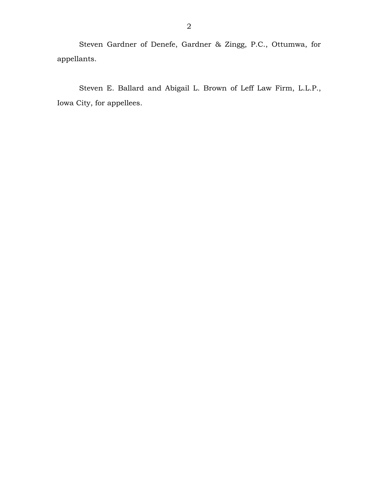Steven Gardner of Denefe, Gardner & Zingg, P.C., Ottumwa, for appellants.

Steven E. Ballard and Abigail L. Brown of Leff Law Firm, L.L.P., Iowa City, for appellees.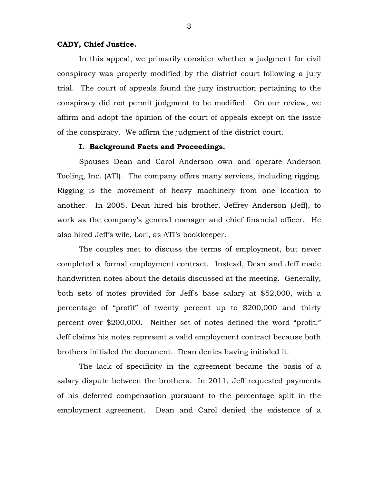## **CADY, Chief Justice.**

In this appeal, we primarily consider whether a judgment for civil conspiracy was properly modified by the district court following a jury trial. The court of appeals found the jury instruction pertaining to the conspiracy did not permit judgment to be modified. On our review, we affirm and adopt the opinion of the court of appeals except on the issue of the conspiracy. We affirm the judgment of the district court.

#### **I. Background Facts and Proceedings.**

Spouses Dean and Carol Anderson own and operate Anderson Tooling, Inc. (ATI). The company offers many services, including rigging. Rigging is the movement of heavy machinery from one location to another. In 2005, Dean hired his brother, Jeffrey Anderson (Jeff), to work as the company's general manager and chief financial officer. He also hired Jeff's wife, Lori, as ATI's bookkeeper.

The couples met to discuss the terms of employment, but never completed a formal employment contract. Instead, Dean and Jeff made handwritten notes about the details discussed at the meeting. Generally, both sets of notes provided for Jeff's base salary at \$52,000, with a percentage of "profit" of twenty percent up to \$200,000 and thirty percent over \$200,000. Neither set of notes defined the word "profit." Jeff claims his notes represent a valid employment contract because both brothers initialed the document. Dean denies having initialed it.

The lack of specificity in the agreement became the basis of a salary dispute between the brothers. In 2011, Jeff requested payments of his deferred compensation pursuant to the percentage split in the employment agreement. Dean and Carol denied the existence of a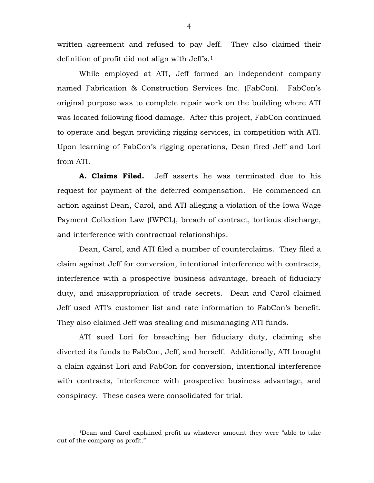written agreement and refused to pay Jeff. They also claimed their definition of profit did not align with Jeff's.[1](#page-3-0) 

While employed at ATI, Jeff formed an independent company named Fabrication & Construction Services Inc. (FabCon). FabCon's original purpose was to complete repair work on the building where ATI was located following flood damage. After this project, FabCon continued to operate and began providing rigging services, in competition with ATI. Upon learning of FabCon's rigging operations, Dean fired Jeff and Lori from ATI.

**A. Claims Filed.** Jeff asserts he was terminated due to his request for payment of the deferred compensation. He commenced an action against Dean, Carol, and ATI alleging a violation of the Iowa Wage Payment Collection Law (IWPCL), breach of contract, tortious discharge, and interference with contractual relationships.

Dean, Carol, and ATI filed a number of counterclaims. They filed a claim against Jeff for conversion, intentional interference with contracts, interference with a prospective business advantage, breach of fiduciary duty, and misappropriation of trade secrets. Dean and Carol claimed Jeff used ATI's customer list and rate information to FabCon's benefit. They also claimed Jeff was stealing and mismanaging ATI funds.

ATI sued Lori for breaching her fiduciary duty, claiming she diverted its funds to FabCon, Jeff, and herself. Additionally, ATI brought a claim against Lori and FabCon for conversion, intentional interference with contracts, interference with prospective business advantage, and conspiracy. These cases were consolidated for trial.

4

<span id="page-3-0"></span> <sup>1</sup>Dean and Carol explained profit as whatever amount they were "able to take out of the company as profit."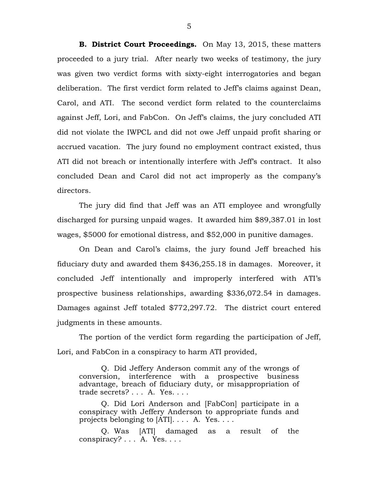**B. District Court Proceedings.** On May 13, 2015, these matters proceeded to a jury trial. After nearly two weeks of testimony, the jury was given two verdict forms with sixty-eight interrogatories and began deliberation. The first verdict form related to Jeff's claims against Dean, Carol, and ATI. The second verdict form related to the counterclaims against Jeff, Lori, and FabCon. On Jeff's claims, the jury concluded ATI did not violate the IWPCL and did not owe Jeff unpaid profit sharing or accrued vacation. The jury found no employment contract existed, thus ATI did not breach or intentionally interfere with Jeff's contract. It also concluded Dean and Carol did not act improperly as the company's directors.

The jury did find that Jeff was an ATI employee and wrongfully discharged for pursing unpaid wages. It awarded him \$89,387.01 in lost wages, \$5000 for emotional distress, and \$52,000 in punitive damages.

On Dean and Carol's claims, the jury found Jeff breached his fiduciary duty and awarded them \$436,255.18 in damages. Moreover, it concluded Jeff intentionally and improperly interfered with ATI's prospective business relationships, awarding \$336,072.54 in damages. Damages against Jeff totaled \$772,297.72. The district court entered judgments in these amounts.

The portion of the verdict form regarding the participation of Jeff, Lori, and FabCon in a conspiracy to harm ATI provided,

Q. Did Jeffery Anderson commit any of the wrongs of conversion, interference with a prospective business advantage, breach of fiduciary duty, or misappropriation of trade secrets? . . . A. Yes. . . .

Q. Did Lori Anderson and [FabCon] participate in a conspiracy with Jeffery Anderson to appropriate funds and projects belonging to [ATI]. . . . A. Yes. . . .

Q. Was [ATI] damaged as a result of the conspiracy? . . . A. Yes. . . .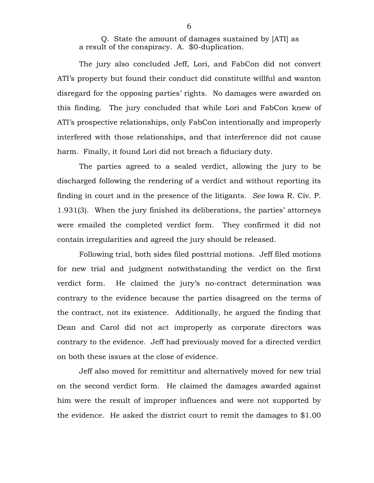Q. State the amount of damages sustained by [ATI] as a result of the conspiracy. A. \$0-duplication.

The jury also concluded Jeff, Lori, and FabCon did not convert ATI's property but found their conduct did constitute willful and wanton disregard for the opposing parties' rights. No damages were awarded on this finding. The jury concluded that while Lori and FabCon knew of ATI's prospective relationships, only FabCon intentionally and improperly interfered with those relationships, and that interference did not cause harm. Finally, it found Lori did not breach a fiduciary duty.

The parties agreed to a sealed verdict, allowing the jury to be discharged following the rendering of a verdict and without reporting its finding in court and in the presence of the litigants. *See* Iowa R. Civ. P. 1.931(3). When the jury finished its deliberations, the parties' attorneys were emailed the completed verdict form. They confirmed it did not contain irregularities and agreed the jury should be released.

Following trial, both sides filed posttrial motions. Jeff filed motions for new trial and judgment notwithstanding the verdict on the first verdict form. He claimed the jury's no-contract determination was contrary to the evidence because the parties disagreed on the terms of the contract, not its existence. Additionally, he argued the finding that Dean and Carol did not act improperly as corporate directors was contrary to the evidence. Jeff had previously moved for a directed verdict on both these issues at the close of evidence.

Jeff also moved for remittitur and alternatively moved for new trial on the second verdict form. He claimed the damages awarded against him were the result of improper influences and were not supported by the evidence. He asked the district court to remit the damages to \$1.00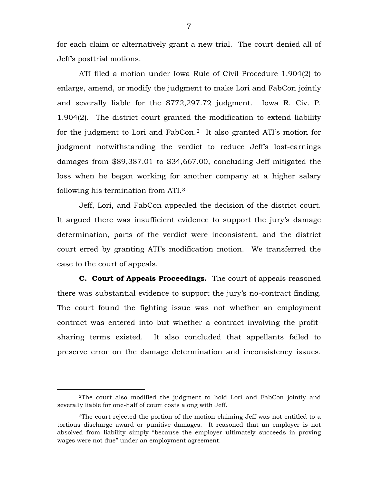for each claim or alternatively grant a new trial. The court denied all of Jeff's posttrial motions.

ATI filed a motion under Iowa Rule of Civil Procedure 1.904(2) to enlarge, amend, or modify the judgment to make Lori and FabCon jointly and severally liable for the \$772,297.72 judgment. Iowa R. Civ. P. 1.904(2). The district court granted the modification to extend liability for the judgment to Lori and FabCon.[2](#page-6-0) It also granted ATI's motion for judgment notwithstanding the verdict to reduce Jeff's lost-earnings damages from \$89,387.01 to \$34,667.00, concluding Jeff mitigated the loss when he began working for another company at a higher salary following his termination from ATI.[3](#page-6-1)

Jeff, Lori, and FabCon appealed the decision of the district court. It argued there was insufficient evidence to support the jury's damage determination, parts of the verdict were inconsistent, and the district court erred by granting ATI's modification motion. We transferred the case to the court of appeals.

**C. Court of Appeals Proceedings.** The court of appeals reasoned there was substantial evidence to support the jury's no-contract finding. The court found the fighting issue was not whether an employment contract was entered into but whether a contract involving the profitsharing terms existed. It also concluded that appellants failed to preserve error on the damage determination and inconsistency issues.

<span id="page-6-0"></span> <sup>2</sup>The court also modified the judgment to hold Lori and FabCon jointly and severally liable for one-half of court costs along with Jeff.

<span id="page-6-1"></span><sup>3</sup>The court rejected the portion of the motion claiming Jeff was not entitled to a tortious discharge award or punitive damages. It reasoned that an employer is not absolved from liability simply "because the employer ultimately succeeds in proving wages were not due" under an employment agreement.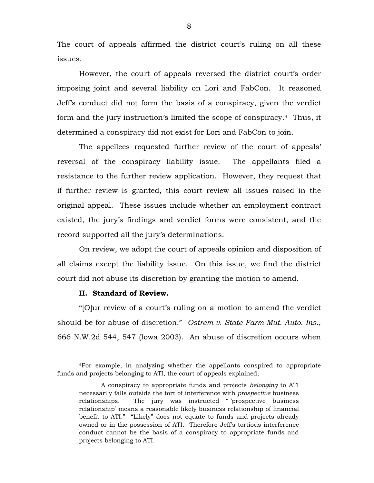The court of appeals affirmed the district court's ruling on all these issues.

However, the court of appeals reversed the district court's order imposing joint and several liability on Lori and FabCon. It reasoned Jeff's conduct did not form the basis of a conspiracy, given the verdict form and the jury instruction's limited the scope of conspiracy.[4](#page-7-0) Thus, it determined a conspiracy did not exist for Lori and FabCon to join.

The appellees requested further review of the court of appeals' reversal of the conspiracy liability issue. The appellants filed a resistance to the further review application. However, they request that if further review is granted, this court review all issues raised in the original appeal. These issues include whether an employment contract existed, the jury's findings and verdict forms were consistent, and the record supported all the jury's determinations.

On review, we adopt the court of appeals opinion and disposition of all claims except the liability issue. On this issue, we find the district court did not abuse its discretion by granting the motion to amend.

#### **II. Standard of Review.**

"[O]ur review of a court's ruling on a motion to amend the verdict should be for abuse of discretion." *Ostrem v. State Farm Mut. Auto. Ins.*, 666 N.W.2d 544, 547 (Iowa 2003). An abuse of discretion occurs when

<span id="page-7-0"></span> <sup>4</sup>For example, in analyzing whether the appellants conspired to appropriate funds and projects belonging to ATI, the court of appeals explained,

A conspiracy to appropriate funds and projects *belonging* to ATI necessarily falls outside the tort of interference with *prospective* business relationships. The jury was instructed " 'prospective business relationship' means a reasonable likely business relationship of financial benefit to ATI." "Likely" does not equate to funds and projects already owned or in the possession of ATI. Therefore Jeff's tortious interference conduct cannot be the basis of a conspiracy to appropriate funds and projects belonging to ATI.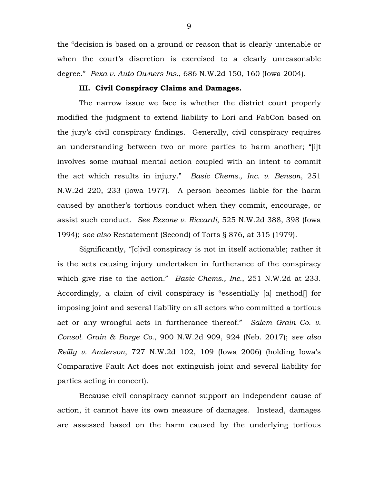the "decision is based on a ground or reason that is clearly untenable or when the court's discretion is exercised to a clearly unreasonable degree." *Pexa v. Auto Owners Ins.*, 686 N.W.2d 150, 160 (Iowa 2004).

## **III. Civil Conspiracy Claims and Damages.**

The narrow issue we face is whether the district court properly modified the judgment to extend liability to Lori and FabCon based on the jury's civil conspiracy findings. Generally, civil conspiracy requires an understanding between two or more parties to harm another; "[i]t involves some mutual mental action coupled with an intent to commit the act which results in injury." *Basic Chems., Inc. v. Benson*, 251 N.W.2d 220, 233 (Iowa 1977). A person becomes liable for the harm caused by another's tortious conduct when they commit, encourage, or assist such conduct. *See Ezzone v. Riccardi*, 525 N.W.2d 388, 398 (Iowa 1994); *see also* Restatement (Second) of Torts § 876, at 315 (1979).

Significantly, "[c]ivil conspiracy is not in itself actionable; rather it is the acts causing injury undertaken in furtherance of the conspiracy which give rise to the action." *Basic Chems., Inc.*, 251 N.W.2d at 233. Accordingly, a claim of civil conspiracy is "essentially [a] method[] for imposing joint and several liability on all actors who committed a tortious act or any wrongful acts in furtherance thereof." *Salem Grain Co. v. Consol. Grain & Barge Co.*, 900 N.W.2d 909, 924 (Neb. 2017); *see also Reilly v. Anderson*, 727 N.W.2d 102, 109 (Iowa 2006) (holding Iowa's Comparative Fault Act does not extinguish joint and several liability for parties acting in concert).

Because civil conspiracy cannot support an independent cause of action, it cannot have its own measure of damages. Instead, damages are assessed based on the harm caused by the underlying tortious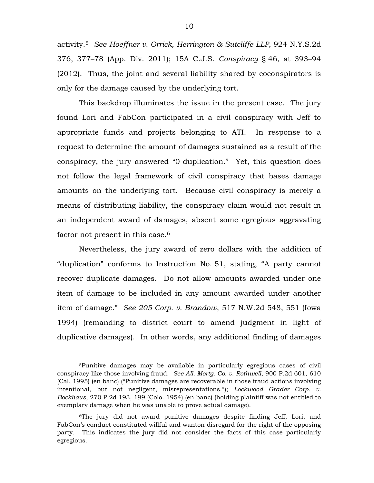activity.[5](#page-9-0) *See Hoeffner v. Orrick, Herrington & Sutcliffe LLP*, 924 N.Y.S.2d 376, 377–78 (App. Div. 2011); 15A C.J.S. *Conspiracy* § 46, at 393–94 (2012). Thus, the joint and several liability shared by coconspirators is only for the damage caused by the underlying tort.

This backdrop illuminates the issue in the present case. The jury found Lori and FabCon participated in a civil conspiracy with Jeff to appropriate funds and projects belonging to ATI. In response to a request to determine the amount of damages sustained as a result of the conspiracy, the jury answered "0-duplication." Yet, this question does not follow the legal framework of civil conspiracy that bases damage amounts on the underlying tort. Because civil conspiracy is merely a means of distributing liability, the conspiracy claim would not result in an independent award of damages, absent some egregious aggravating factor not present in this case.<sup>[6](#page-9-1)</sup>

Nevertheless, the jury award of zero dollars with the addition of "duplication" conforms to Instruction No. 51, stating, "A party cannot recover duplicate damages. Do not allow amounts awarded under one item of damage to be included in any amount awarded under another item of damage." *See 205 Corp. v. Brandow*, 517 N.W.2d 548, 551 (Iowa 1994) (remanding to district court to amend judgment in light of duplicative damages). In other words, any additional finding of damages

<span id="page-9-0"></span> <sup>5</sup>Punitive damages may be available in particularly egregious cases of civil conspiracy like those involving fraud. *See All. Mortg. Co. v. Rothwell*, 900 P.2d 601, 610 (Cal. 1995) (en banc) ("Punitive damages are recoverable in those fraud actions involving intentional, but not negligent, misrepresentations."); *Lockwood Grader Corp. v. Bockhaus*, 270 P.2d 193, 199 (Colo. 1954) (en banc) (holding plaintiff was not entitled to exemplary damage when he was unable to prove actual damage).

<span id="page-9-1"></span><sup>6</sup>The jury did not award punitive damages despite finding Jeff, Lori, and FabCon's conduct constituted willful and wanton disregard for the right of the opposing party. This indicates the jury did not consider the facts of this case particularly egregious.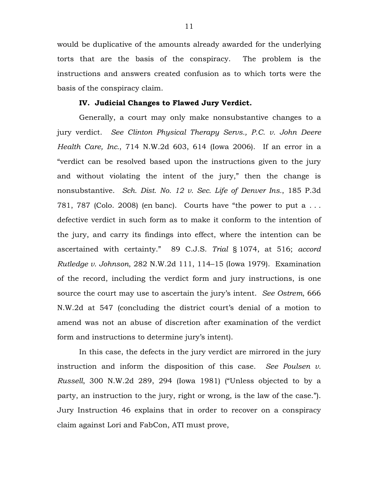would be duplicative of the amounts already awarded for the underlying torts that are the basis of the conspiracy. The problem is the instructions and answers created confusion as to which torts were the basis of the conspiracy claim.

#### **IV. Judicial Changes to Flawed Jury Verdict.**

Generally, a court may only make nonsubstantive changes to a jury verdict. *See Clinton Physical Therapy Servs., P.C. v. John Deere Health Care, Inc.*, 714 N.W.2d 603, 614 (Iowa 2006). If an error in a "verdict can be resolved based upon the instructions given to the jury and without violating the intent of the jury," then the change is nonsubstantive. *Sch. Dist. No. 12 v. Sec. Life of Denver Ins.*, 185 P.3d 781, 787 (Colo. 2008) (en banc). Courts have "the power to put a . . . defective verdict in such form as to make it conform to the intention of the jury, and carry its findings into effect, where the intention can be ascertained with certainty." 89 C.J.S. *Trial* § 1074, at 516; *accord Rutledge v. Johnson*, 282 N.W.2d 111, 114–15 (Iowa 1979). Examination of the record, including the verdict form and jury instructions, is one source the court may use to ascertain the jury's intent. *See Ostrem*, 666 N.W.2d at 547 (concluding the district court's denial of a motion to amend was not an abuse of discretion after examination of the verdict form and instructions to determine jury's intent).

In this case, the defects in the jury verdict are mirrored in the jury instruction and inform the disposition of this case. *See Poulsen v. Russell*, 300 N.W.2d 289, 294 (Iowa 1981) ("Unless objected to by a party, an instruction to the jury, right or wrong, is the law of the case."). Jury Instruction 46 explains that in order to recover on a conspiracy claim against Lori and FabCon, ATI must prove,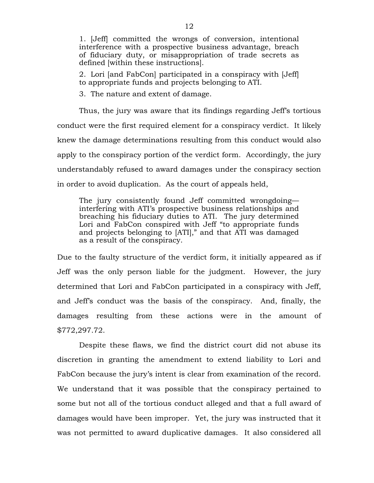1. [Jeff] committed the wrongs of conversion, intentional interference with a prospective business advantage, breach of fiduciary duty, or misappropriation of trade secrets as defined [within these instructions].

2. Lori [and FabCon] participated in a conspiracy with [Jeff] to appropriate funds and projects belonging to ATI.

3. The nature and extent of damage.

Thus, the jury was aware that its findings regarding Jeff's tortious conduct were the first required element for a conspiracy verdict. It likely knew the damage determinations resulting from this conduct would also apply to the conspiracy portion of the verdict form. Accordingly, the jury understandably refused to award damages under the conspiracy section in order to avoid duplication. As the court of appeals held,

The jury consistently found Jeff committed wrongdoing interfering with ATI's prospective business relationships and breaching his fiduciary duties to ATI. The jury determined Lori and FabCon conspired with Jeff "to appropriate funds and projects belonging to [ATI]," and that ATI was damaged as a result of the conspiracy.

Due to the faulty structure of the verdict form, it initially appeared as if Jeff was the only person liable for the judgment. However, the jury determined that Lori and FabCon participated in a conspiracy with Jeff, and Jeff's conduct was the basis of the conspiracy. And, finally, the damages resulting from these actions were in the amount of \$772,297.72.

Despite these flaws, we find the district court did not abuse its discretion in granting the amendment to extend liability to Lori and FabCon because the jury's intent is clear from examination of the record. We understand that it was possible that the conspiracy pertained to some but not all of the tortious conduct alleged and that a full award of damages would have been improper. Yet, the jury was instructed that it was not permitted to award duplicative damages. It also considered all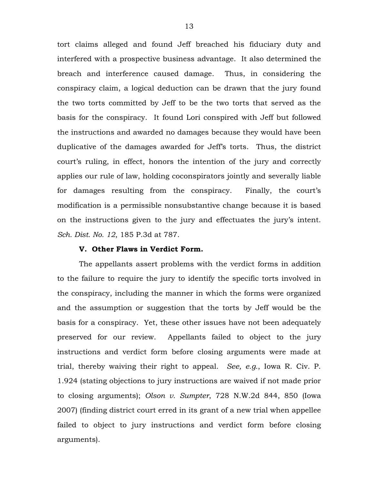tort claims alleged and found Jeff breached his fiduciary duty and interfered with a prospective business advantage. It also determined the breach and interference caused damage. Thus, in considering the conspiracy claim, a logical deduction can be drawn that the jury found the two torts committed by Jeff to be the two torts that served as the basis for the conspiracy. It found Lori conspired with Jeff but followed the instructions and awarded no damages because they would have been duplicative of the damages awarded for Jeff's torts. Thus, the district court's ruling, in effect, honors the intention of the jury and correctly applies our rule of law, holding coconspirators jointly and severally liable for damages resulting from the conspiracy. Finally, the court's modification is a permissible nonsubstantive change because it is based on the instructions given to the jury and effectuates the jury's intent. *Sch. Dist. No. 12*, 185 P.3d at 787.

#### **V. Other Flaws in Verdict Form.**

The appellants assert problems with the verdict forms in addition to the failure to require the jury to identify the specific torts involved in the conspiracy, including the manner in which the forms were organized and the assumption or suggestion that the torts by Jeff would be the basis for a conspiracy. Yet, these other issues have not been adequately preserved for our review. Appellants failed to object to the jury instructions and verdict form before closing arguments were made at trial, thereby waiving their right to appeal. *See, e.g.*, Iowa R. Civ. P. 1.924 (stating objections to jury instructions are waived if not made prior to closing arguments); *Olson v. Sumpter*, 728 N.W.2d 844, 850 (Iowa 2007) (finding district court erred in its grant of a new trial when appellee failed to object to jury instructions and verdict form before closing arguments).